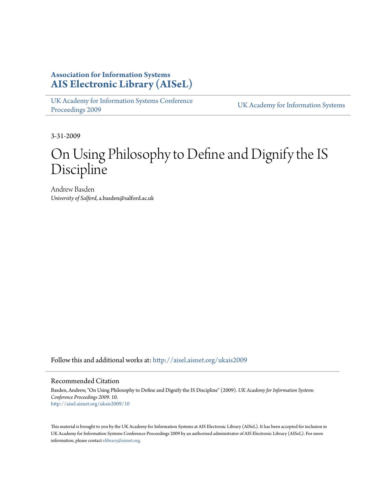## **Association for Information Systems [AIS Electronic Library \(AISeL\)](http://aisel.aisnet.org?utm_source=aisel.aisnet.org%2Fukais2009%2F10&utm_medium=PDF&utm_campaign=PDFCoverPages)**

[UK Academy for Information Systems Conference](http://aisel.aisnet.org/ukais2009?utm_source=aisel.aisnet.org%2Fukais2009%2F10&utm_medium=PDF&utm_campaign=PDFCoverPages) [Proceedings 2009](http://aisel.aisnet.org/ukais2009?utm_source=aisel.aisnet.org%2Fukais2009%2F10&utm_medium=PDF&utm_campaign=PDFCoverPages) [UK Academy for Information Systems](http://aisel.aisnet.org/ukais?utm_source=aisel.aisnet.org%2Fukais2009%2F10&utm_medium=PDF&utm_campaign=PDFCoverPages)

3-31-2009

## On Using Philosophy to Define and Dignify the IS Discipline

Andrew Basden *University of Salford*, a.basden@salford.ac.uk

Follow this and additional works at: [http://aisel.aisnet.org/ukais2009](http://aisel.aisnet.org/ukais2009?utm_source=aisel.aisnet.org%2Fukais2009%2F10&utm_medium=PDF&utm_campaign=PDFCoverPages)

#### Recommended Citation

Basden, Andrew, "On Using Philosophy to Define and Dignify the IS Discipline" (2009). *UK Academy for Information Systems Conference Proceedings 2009*. 10. [http://aisel.aisnet.org/ukais2009/10](http://aisel.aisnet.org/ukais2009/10?utm_source=aisel.aisnet.org%2Fukais2009%2F10&utm_medium=PDF&utm_campaign=PDFCoverPages)

This material is brought to you by the UK Academy for Information Systems at AIS Electronic Library (AISeL). It has been accepted for inclusion in UK Academy for Information Systems Conference Proceedings 2009 by an authorized administrator of AIS Electronic Library (AISeL). For more information, please contact [elibrary@aisnet.org.](mailto:elibrary@aisnet.org%3E)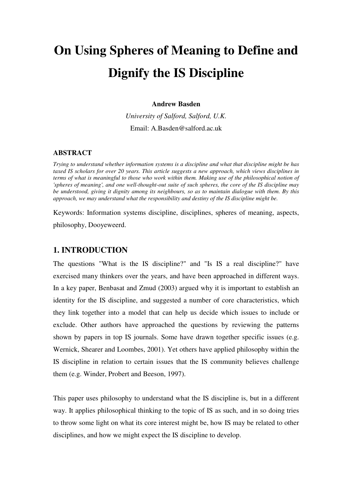# **On Using Spheres of Meaning to Define and Dignify the IS Discipline**

#### **Andrew Basden**

*University of Salford, Salford, U.K.*  Email: A.Basden@salford.ac.uk

#### **ABSTRACT**

*Trying to understand whether information systems is a discipline and what that discipline might be has taxed IS scholars for over 20 years. This article suggests a new approach, which views disciplines in terms of what is meaningful to those who work within them. Making use of the philosophical notion of 'spheres of meaning', and one well-thought-out suite of such spheres, the core of the IS discipline may be understood, giving it dignity among its neighbours, so as to maintain dialogue with them. By this approach, we may understand what the responsibility and destiny of the IS discipline might be.* 

Keywords: Information systems discipline, disciplines, spheres of meaning, aspects, philosophy, Dooyeweerd.

## **1. INTRODUCTION**

The questions "What is the IS discipline?" and "Is IS a real discipline?" have exercised many thinkers over the years, and have been approached in different ways. In a key paper, Benbasat and Zmud (2003) argued why it is important to establish an identity for the IS discipline, and suggested a number of core characteristics, which they link together into a model that can help us decide which issues to include or exclude. Other authors have approached the questions by reviewing the patterns shown by papers in top IS journals. Some have drawn together specific issues (e.g. Wernick, Shearer and Loombes, 2001). Yet others have applied philosophy within the IS discipline in relation to certain issues that the IS community believes challenge them (e.g. Winder, Probert and Beeson, 1997).

This paper uses philosophy to understand what the IS discipline is, but in a different way. It applies philosophical thinking to the topic of IS as such, and in so doing tries to throw some light on what its core interest might be, how IS may be related to other disciplines, and how we might expect the IS discipline to develop.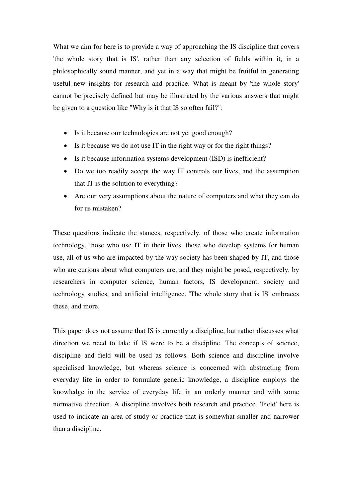What we aim for here is to provide a way of approaching the IS discipline that covers 'the whole story that is IS', rather than any selection of fields within it, in a philosophically sound manner, and yet in a way that might be fruitful in generating useful new insights for research and practice. What is meant by 'the whole story' cannot be precisely defined but may be illustrated by the various answers that might be given to a question like "Why is it that IS so often fail?":

- Is it because our technologies are not yet good enough?
- Is it because we do not use IT in the right way or for the right things?
- Is it because information systems development (ISD) is inefficient?
- Do we too readily accept the way IT controls our lives, and the assumption that IT is the solution to everything?
- Are our very assumptions about the nature of computers and what they can do for us mistaken?

These questions indicate the stances, respectively, of those who create information technology, those who use IT in their lives, those who develop systems for human use, all of us who are impacted by the way society has been shaped by IT, and those who are curious about what computers are, and they might be posed, respectively, by researchers in computer science, human factors, IS development, society and technology studies, and artificial intelligence. 'The whole story that is IS' embraces these, and more.

This paper does not assume that IS is currently a discipline, but rather discusses what direction we need to take if IS were to be a discipline. The concepts of science, discipline and field will be used as follows. Both science and discipline involve specialised knowledge, but whereas science is concerned with abstracting from everyday life in order to formulate generic knowledge, a discipline employs the knowledge in the service of everyday life in an orderly manner and with some normative direction. A discipline involves both research and practice. 'Field' here is used to indicate an area of study or practice that is somewhat smaller and narrower than a discipline.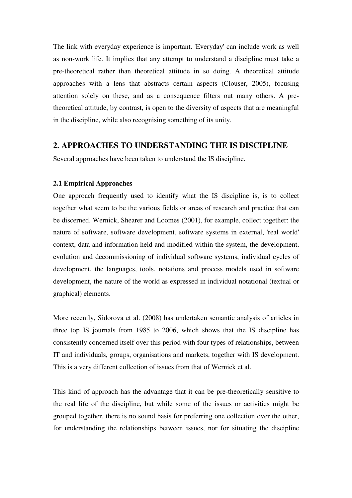The link with everyday experience is important. 'Everyday' can include work as well as non-work life. It implies that any attempt to understand a discipline must take a pre-theoretical rather than theoretical attitude in so doing. A theoretical attitude approaches with a lens that abstracts certain aspects (Clouser, 2005), focusing attention solely on these, and as a consequence filters out many others. A pretheoretical attitude, by contrast, is open to the diversity of aspects that are meaningful in the discipline, while also recognising something of its unity.

## **2. APPROACHES TO UNDERSTANDING THE IS DISCIPLINE**

Several approaches have been taken to understand the IS discipline.

## **2.1 Empirical Approaches**

One approach frequently used to identify what the IS discipline is, is to collect together what seem to be the various fields or areas of research and practice that can be discerned. Wernick, Shearer and Loomes (2001), for example, collect together: the nature of software, software development, software systems in external, 'real world' context, data and information held and modified within the system, the development, evolution and decommissioning of individual software systems, individual cycles of development, the languages, tools, notations and process models used in software development, the nature of the world as expressed in individual notational (textual or graphical) elements.

More recently, Sidorova et al. (2008) has undertaken semantic analysis of articles in three top IS journals from 1985 to 2006, which shows that the IS discipline has consistently concerned itself over this period with four types of relationships, between IT and individuals, groups, organisations and markets, together with IS development. This is a very different collection of issues from that of Wernick et al.

This kind of approach has the advantage that it can be pre-theoretically sensitive to the real life of the discipline, but while some of the issues or activities might be grouped together, there is no sound basis for preferring one collection over the other, for understanding the relationships between issues, nor for situating the discipline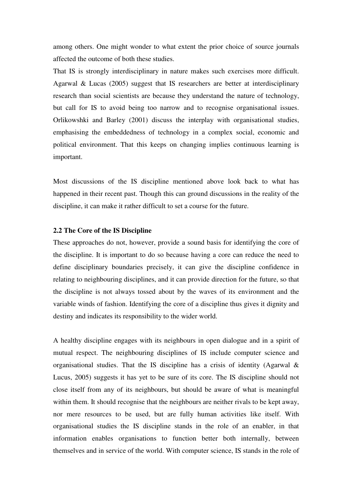among others. One might wonder to what extent the prior choice of source journals affected the outcome of both these studies.

That IS is strongly interdisciplinary in nature makes such exercises more difficult. Agarwal & Lucas (2005) suggest that IS researchers are better at interdisciplinary research than social scientists are because they understand the nature of technology, but call for IS to avoid being too narrow and to recognise organisational issues. Orlikowshki and Barley (2001) discuss the interplay with organisational studies, emphasising the embeddedness of technology in a complex social, economic and political environment. That this keeps on changing implies continuous learning is important.

Most discussions of the IS discipline mentioned above look back to what has happened in their recent past. Though this can ground discussions in the reality of the discipline, it can make it rather difficult to set a course for the future.

#### **2.2 The Core of the IS Discipline**

These approaches do not, however, provide a sound basis for identifying the core of the discipline. It is important to do so because having a core can reduce the need to define disciplinary boundaries precisely, it can give the discipline confidence in relating to neighbouring disciplines, and it can provide direction for the future, so that the discipline is not always tossed about by the waves of its environment and the variable winds of fashion. Identifying the core of a discipline thus gives it dignity and destiny and indicates its responsibility to the wider world.

A healthy discipline engages with its neighbours in open dialogue and in a spirit of mutual respect. The neighbouring disciplines of IS include computer science and organisational studies. That the IS discipline has a crisis of identity (Agarwal & Lucus, 2005) suggests it has yet to be sure of its core. The IS discipline should not close itself from any of its neighbours, but should be aware of what is meaningful within them. It should recognise that the neighbours are neither rivals to be kept away, nor mere resources to be used, but are fully human activities like itself. With organisational studies the IS discipline stands in the role of an enabler, in that information enables organisations to function better both internally, between themselves and in service of the world. With computer science, IS stands in the role of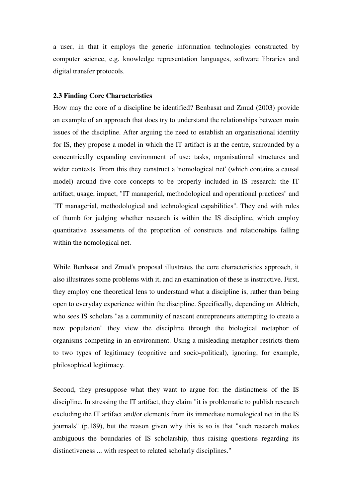a user, in that it employs the generic information technologies constructed by computer science, e.g. knowledge representation languages, software libraries and digital transfer protocols.

#### **2.3 Finding Core Characteristics**

How may the core of a discipline be identified? Benbasat and Zmud (2003) provide an example of an approach that does try to understand the relationships between main issues of the discipline. After arguing the need to establish an organisational identity for IS, they propose a model in which the IT artifact is at the centre, surrounded by a concentrically expanding environment of use: tasks, organisational structures and wider contexts. From this they construct a 'nomological net' (which contains a causal model) around five core concepts to be properly included in IS research: the IT artifact, usage, impact, "IT managerial, methodological and operational practices" and "IT managerial, methodological and technological capabilities". They end with rules of thumb for judging whether research is within the IS discipline, which employ quantitative assessments of the proportion of constructs and relationships falling within the nomological net.

While Benbasat and Zmud's proposal illustrates the core characteristics approach, it also illustrates some problems with it, and an examination of these is instructive. First, they employ one theoretical lens to understand what a discipline is, rather than being open to everyday experience within the discipline. Specifically, depending on Aldrich, who sees IS scholars "as a community of nascent entrepreneurs attempting to create a new population" they view the discipline through the biological metaphor of organisms competing in an environment. Using a misleading metaphor restricts them to two types of legitimacy (cognitive and socio-political), ignoring, for example, philosophical legitimacy.

Second, they presuppose what they want to argue for: the distinctness of the IS discipline. In stressing the IT artifact, they claim "it is problematic to publish research excluding the IT artifact and/or elements from its immediate nomological net in the IS journals" (p.189), but the reason given why this is so is that "such research makes ambiguous the boundaries of IS scholarship, thus raising questions regarding its distinctiveness ... with respect to related scholarly disciplines."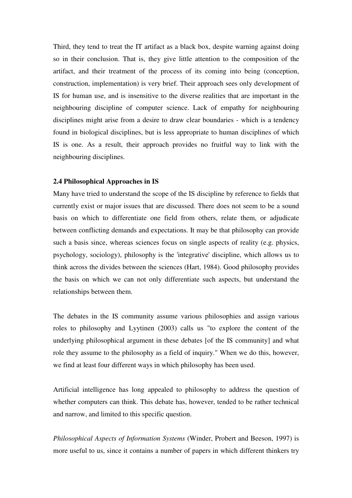Third, they tend to treat the IT artifact as a black box, despite warning against doing so in their conclusion. That is, they give little attention to the composition of the artifact, and their treatment of the process of its coming into being (conception, construction, implementation) is very brief. Their approach sees only development of IS for human use, and is insensitive to the diverse realities that are important in the neighbouring discipline of computer science. Lack of empathy for neighbouring disciplines might arise from a desire to draw clear boundaries - which is a tendency found in biological disciplines, but is less appropriate to human disciplines of which IS is one. As a result, their approach provides no fruitful way to link with the neighbouring disciplines.

#### **2.4 Philosophical Approaches in IS**

Many have tried to understand the scope of the IS discipline by reference to fields that currently exist or major issues that are discussed. There does not seem to be a sound basis on which to differentiate one field from others, relate them, or adjudicate between conflicting demands and expectations. It may be that philosophy can provide such a basis since, whereas sciences focus on single aspects of reality (e.g. physics, psychology, sociology), philosophy is the 'integrative' discipline, which allows us to think across the divides between the sciences (Hart, 1984). Good philosophy provides the basis on which we can not only differentiate such aspects, but understand the relationships between them.

The debates in the IS community assume various philosophies and assign various roles to philosophy and Lyytinen (2003) calls us "to explore the content of the underlying philosophical argument in these debates [of the IS community] and what role they assume to the philosophy as a field of inquiry." When we do this, however, we find at least four different ways in which philosophy has been used.

Artificial intelligence has long appealed to philosophy to address the question of whether computers can think. This debate has, however, tended to be rather technical and narrow, and limited to this specific question.

*Philosophical Aspects of Information Systems* (Winder, Probert and Beeson, 1997) is more useful to us, since it contains a number of papers in which different thinkers try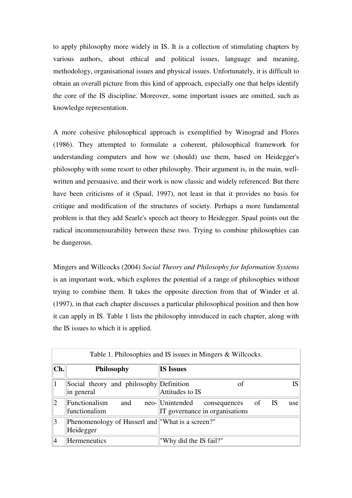to apply philosophy more widely in IS. It is a collection of stimulating chapters by various authors, about ethical and political issues, language and meaning, methodology, organisational issues and physical issues. Unfortunately, it is difficult to obtain an overall picture from this kind of approach, especially one that helps identify the core of the IS discipline. Moreover, some important issues are omitted, such as knowledge representation.

A more cohesive philosophical approach is exemplified by Winograd and Flores (1986). They attempted to formulate a coherent, philosophical framework for understanding computers and how we (should) use them, based on Heidegger's philosophy with some resort to other philosophy. Their argument is, in the main, wellwritten and persuasive, and their work is now classic and widely referenced. But there have been criticisms of it (Spaul, 1997), not least in that it provides no basis for critique and modification of the structures of society. Perhaps a more fundamental problem is that they add Searle's speech act theory to Heidegger. Spaul points out the radical incommensurability between these two. Trying to combine philosophies can be dangerous.

Mingers and Willcocks (2004) *Social Theory and Philosophy for Information Systems* is an important work, which explores the potential of a range of philosophies without trying to combine them. It takes the opposite direction from that of Winder et al. (1997), in that each chapter discusses a particular philosophical position and then how it can apply in IS. Table 1 lists the philosophy introduced in each chapter, along with the IS issues to which it is applied.

|                |                                                               | Table 1. Philosophies and IS issues in Mingers & Willcocks.                                |
|----------------|---------------------------------------------------------------|--------------------------------------------------------------------------------------------|
| Ch.            | <b>Philosophy</b>                                             | <b>IS Issues</b>                                                                           |
|                | Social theory and philosophy Definition<br>in general         | <b>IS</b><br>of<br>Attitudes to IS                                                         |
| $\overline{2}$ | Functionalism<br>and<br>functionalism                         | neo-Unintended<br><b>IS</b><br>of<br>consequences<br>use<br>IT governance in organisations |
| 13             | Phenomenology of Husserl and "What is a screen?"<br>Heidegger |                                                                                            |
|                | <b>Hermeneutics</b>                                           | "Why did the IS fail?"                                                                     |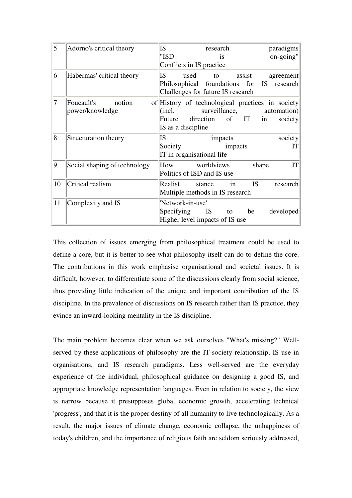| 5              | Adorno's critical theory                | IS.<br>"ISD                                                                        |      | research                         | <i>is</i>          |           |       | paradigms<br>on-going"                                                     |
|----------------|-----------------------------------------|------------------------------------------------------------------------------------|------|----------------------------------|--------------------|-----------|-------|----------------------------------------------------------------------------|
|                |                                         | Conflicts in IS practice                                                           |      |                                  |                    |           |       |                                                                            |
| $\overline{6}$ | Habermas' critical theory               | <b>IS</b><br>Philosophical foundations for IS<br>Challenges for future IS research | used | to                               |                    | assist    |       | agreement<br>research                                                      |
| 7              | Foucault's<br>notion<br>power/knowledge | (incl.<br>Future<br>IS as a discipline                                             |      | surveillance,<br>direction of IT |                    |           | in    | of History of technological practices in society<br>automation)<br>society |
| 8              | Structuration theory                    | IS.<br>Society<br>IT in organisational life                                        |      |                                  | impacts<br>impacts |           |       | society<br>IТ                                                              |
| 9              | Social shaping of technology            | How worldviews<br>Politics of ISD and IS use                                       |      |                                  |                    |           | shape | IT                                                                         |
| 10             | Critical realism                        | Realist stance<br>Multiple methods in IS research                                  |      |                                  | in                 | <b>IS</b> |       | research                                                                   |
| 11             | Complexity and IS                       | 'Network-in-use'<br>Specifying<br>Higher level impacts of IS use                   |      | <b>IS</b>                        |                    | to be     |       | developed                                                                  |

This collection of issues emerging from philosophical treatment could be used to define a core, but it is better to see what philosophy itself can do to define the core. The contributions in this work emphasise organisational and societal issues. It is difficult, however, to differentiate some of the discussions clearly from social science, thus providing little indication of the unique and important contribution of the IS discipline. In the prevalence of discussions on IS research rather than IS practice, they evince an inward-looking mentality in the IS discipline.

The main problem becomes clear when we ask ourselves "What's missing?" Wellserved by these applications of philosophy are the IT-society relationship, IS use in organisations, and IS research paradigms. Less well-served are the everyday experience of the individual, philosophical guidance on designing a good IS, and appropriate knowledge representation languages. Even in relation to society, the view is narrow because it presupposes global economic growth, accelerating technical 'progress', and that it is the proper destiny of all humanity to live technologically. As a result, the major issues of climate change, economic collapse, the unhappiness of today's children, and the importance of religious faith are seldom seriously addressed,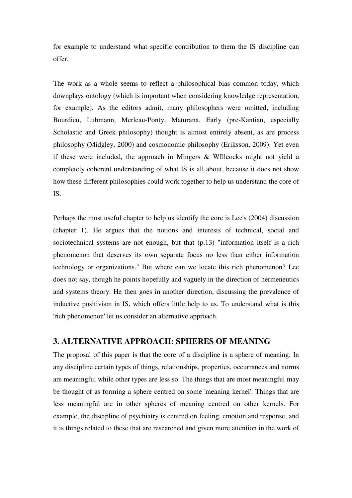for example to understand what specific contribution to them the IS discipline can offer.

The work as a whole seems to reflect a philosophical bias common today, which downplays ontology (which is important when considering knowledge representation, for example). As the editors admit, many philosophers were omitted, including Bourdieu, Luhmann, Merleau-Ponty, Maturana. Early (pre-Kantian, especially Scholastic and Greek philosophy) thought is almost entirely absent, as are process philosophy (Midgley, 2000) and cosmonomic philosophy (Eriksson, 2009). Yet even if these were included, the approach in Mingers & WIllcocks might not yield a completely coherent understanding of what IS is all about, because it does not show how these different philosophies could work together to help us understand the core of IS.

Perhaps the most useful chapter to help us identify the core is Lee's (2004) discussion (chapter 1). He argues that the notions and interests of technical, social and sociotechnical systems are not enough, but that (p.13) "information itself is a rich phenomenon that deserves its own separate focus no less than either information technology or organizations." But where can we locate this rich phenomenon? Lee does not say, though he points hopefully and vaguely in the direction of hermeneutics and systems theory. He then goes in another direction, discussing the prevalence of inductive positivism in IS, which offers little help to us. To understand what is this 'rich phenomenon' let us consider an alternative approach.

## **3. ALTERNATIVE APPROACH: SPHERES OF MEANING**

The proposal of this paper is that the core of a discipline is a sphere of meaning. In any discipline certain types of things, relationships, properties, occurrances and norms are meaningful while other types are less so. The things that are most meaningful may be thought of as forming a sphere centred on some 'meaning kernel'. Things that are less meaningful are in other spheres of meaning centred on other kernels. For example, the discipline of psychiatry is centred on feeling, emotion and response, and it is things related to these that are researched and given more attention in the work of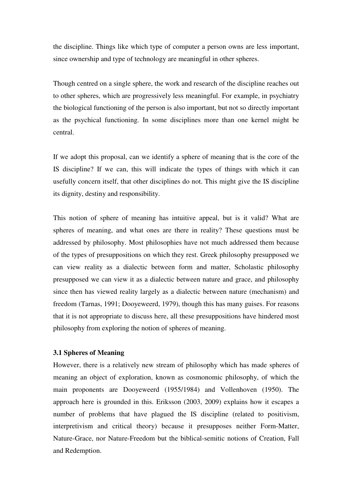the discipline. Things like which type of computer a person owns are less important, since ownership and type of technology are meaningful in other spheres.

Though centred on a single sphere, the work and research of the discipline reaches out to other spheres, which are progressively less meaningful. For example, in psychiatry the biological functioning of the person is also important, but not so directly important as the psychical functioning. In some disciplines more than one kernel might be central.

If we adopt this proposal, can we identify a sphere of meaning that is the core of the IS discipline? If we can, this will indicate the types of things with which it can usefully concern itself, that other disciplines do not. This might give the IS discipline its dignity, destiny and responsibility.

This notion of sphere of meaning has intuitive appeal, but is it valid? What are spheres of meaning, and what ones are there in reality? These questions must be addressed by philosophy. Most philosophies have not much addressed them because of the types of presuppositions on which they rest. Greek philosophy presupposed we can view reality as a dialectic between form and matter, Scholastic philosophy presupposed we can view it as a dialectic between nature and grace, and philosophy since then has viewed reality largely as a dialectic between nature (mechanism) and freedom (Tarnas, 1991; Dooyeweerd, 1979), though this has many guises. For reasons that it is not appropriate to discuss here, all these presuppositions have hindered most philosophy from exploring the notion of spheres of meaning.

#### **3.1 Spheres of Meaning**

However, there is a relatively new stream of philosophy which has made spheres of meaning an object of exploration, known as cosmonomic philosophy, of which the main proponents are Dooyeweerd (1955/1984) and Vollenhoven (1950). The approach here is grounded in this. Eriksson (2003, 2009) explains how it escapes a number of problems that have plagued the IS discipline (related to positivism, interpretivism and critical theory) because it presupposes neither Form-Matter, Nature-Grace, nor Nature-Freedom but the biblical-semitic notions of Creation, Fall and Redemption.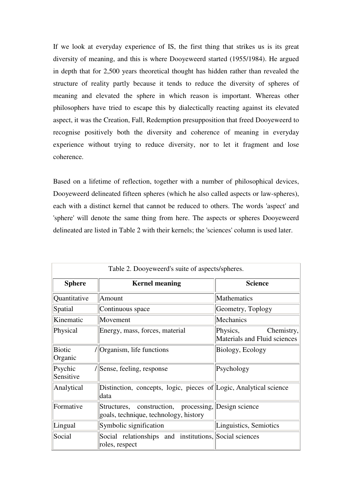If we look at everyday experience of IS, the first thing that strikes us is its great diversity of meaning, and this is where Dooyeweerd started (1955/1984). He argued in depth that for 2,500 years theoretical thought has hidden rather than revealed the structure of reality partly because it tends to reduce the diversity of spheres of meaning and elevated the sphere in which reason is important. Whereas other philosophers have tried to escape this by dialectically reacting against its elevated aspect, it was the Creation, Fall, Redemption presupposition that freed Dooyeweerd to recognise positively both the diversity and coherence of meaning in everyday experience without trying to reduce diversity, nor to let it fragment and lose coherence.

Based on a lifetime of reflection, together with a number of philosophical devices, Dooyeweerd delineated fifteen spheres (which he also called aspects or law-spheres), each with a distinct kernel that cannot be reduced to others. The words 'aspect' and 'sphere' will denote the same thing from here. The aspects or spheres Dooyeweerd delineated are listed in Table 2 with their kernels; the 'sciences' column is used later.

| Table 2. Dooyeweerd's suite of aspects/spheres. |                                                                                               |                                                        |  |  |  |  |  |
|-------------------------------------------------|-----------------------------------------------------------------------------------------------|--------------------------------------------------------|--|--|--|--|--|
| <b>Sphere</b>                                   | <b>Kernel meaning</b>                                                                         | <b>Science</b>                                         |  |  |  |  |  |
| Quantitative<br>Amount                          |                                                                                               | Mathematics                                            |  |  |  |  |  |
| Spatial                                         | Continuous space                                                                              | Geometry, Toplogy                                      |  |  |  |  |  |
| Kinematic                                       | Movement                                                                                      | Mechanics                                              |  |  |  |  |  |
| Physical                                        | Energy, mass, forces, material                                                                | Physics,<br>Chemistry,<br>Materials and Fluid sciences |  |  |  |  |  |
| <b>Biotic</b><br>Organic                        | /  Organism, life functions                                                                   | Biology, Ecology                                       |  |  |  |  |  |
| Psychic<br>Sensitive                            | /Sense, feeling, response                                                                     | Psychology                                             |  |  |  |  |  |
| Analytical                                      | Distinction, concepts, logic, pieces of Logic, Analytical science<br>data                     |                                                        |  |  |  |  |  |
| Formative                                       | Structures, construction, processing, Design science<br>goals, technique, technology, history |                                                        |  |  |  |  |  |
| Lingual                                         | Symbolic signification                                                                        | Linguistics, Semiotics                                 |  |  |  |  |  |
| Social                                          | Social relationships and institutions, Social sciences<br>roles, respect                      |                                                        |  |  |  |  |  |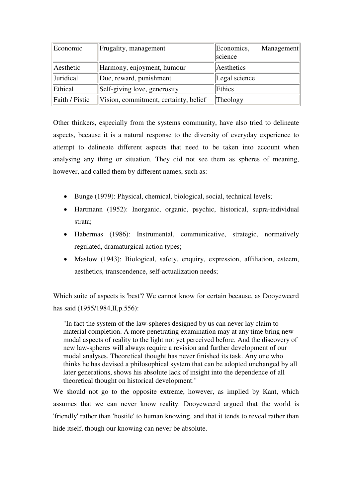| Economic       | Frugality, management                 | Economics,<br>Management<br>science |
|----------------|---------------------------------------|-------------------------------------|
| Aesthetic      | Harmony, enjoyment, humour            | Aesthetics                          |
| Juridical      | Due, reward, punishment               | Legal science                       |
| Ethical        | Self-giving love, generosity          | Ethics                              |
| Faith / Pistic | Vision, commitment, certainty, belief | Theology                            |

Other thinkers, especially from the systems community, have also tried to delineate aspects, because it is a natural response to the diversity of everyday experience to attempt to delineate different aspects that need to be taken into account when analysing any thing or situation. They did not see them as spheres of meaning, however, and called them by different names, such as:

- Bunge (1979): Physical, chemical, biological, social, technical levels;
- Hartmann (1952): Inorganic, organic, psychic, historical, supra-individual strata;
- Habermas (1986): Instrumental, communicative, strategic, normatively regulated, dramaturgical action types;
- Maslow (1943): Biological, safety, enquiry, expression, affiliation, esteem, aesthetics, transcendence, self-actualization needs;

Which suite of aspects is 'best'? We cannot know for certain because, as Dooyeweerd has said (1955/1984, II, p. 556):

"In fact the system of the law-spheres designed by us can never lay claim to material completion. A more penetrating examination may at any time bring new modal aspects of reality to the light not yet perceived before. And the discovery of new law-spheres will always require a revision and further development of our modal analyses. Theoretical thought has never finished its task. Any one who thinks he has devised a philosophical system that can be adopted unchanged by all later generations, shows his absolute lack of insight into the dependence of all theoretical thought on historical development."

We should not go to the opposite extreme, however, as implied by Kant, which assumes that we can never know reality. Dooyeweerd argued that the world is 'friendly' rather than 'hostile' to human knowing, and that it tends to reveal rather than hide itself, though our knowing can never be absolute.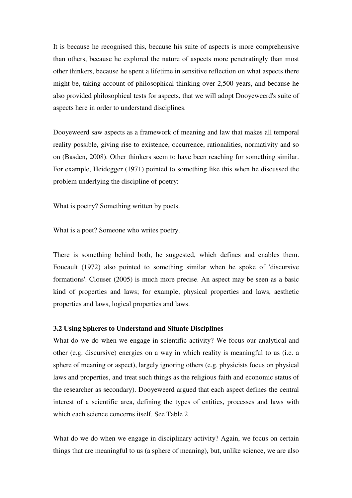It is because he recognised this, because his suite of aspects is more comprehensive than others, because he explored the nature of aspects more penetratingly than most other thinkers, because he spent a lifetime in sensitive reflection on what aspects there might be, taking account of philosophical thinking over 2,500 years, and because he also provided philosophical tests for aspects, that we will adopt Dooyeweerd's suite of aspects here in order to understand disciplines.

Dooyeweerd saw aspects as a framework of meaning and law that makes all temporal reality possible, giving rise to existence, occurrence, rationalities, normativity and so on (Basden, 2008). Other thinkers seem to have been reaching for something similar. For example, Heidegger (1971) pointed to something like this when he discussed the problem underlying the discipline of poetry:

What is poetry? Something written by poets.

What is a poet? Someone who writes poetry.

There is something behind both, he suggested, which defines and enables them. Foucault (1972) also pointed to something similar when he spoke of 'discursive formations'. Clouser (2005) is much more precise. An aspect may be seen as a basic kind of properties and laws; for example, physical properties and laws, aesthetic properties and laws, logical properties and laws.

#### **3.2 Using Spheres to Understand and Situate Disciplines**

What do we do when we engage in scientific activity? We focus our analytical and other (e.g. discursive) energies on a way in which reality is meaningful to us (i.e. a sphere of meaning or aspect), largely ignoring others (e.g. physicists focus on physical laws and properties, and treat such things as the religious faith and economic status of the researcher as secondary). Dooyeweerd argued that each aspect defines the central interest of a scientific area, defining the types of entities, processes and laws with which each science concerns itself. See Table 2.

What do we do when we engage in disciplinary activity? Again, we focus on certain things that are meaningful to us (a sphere of meaning), but, unlike science, we are also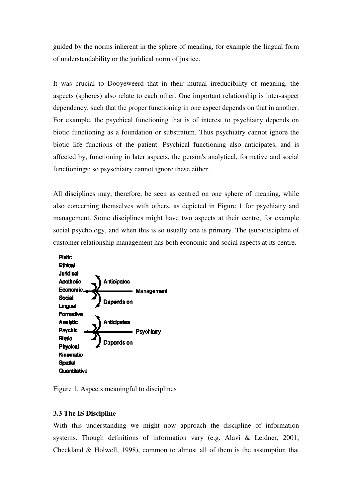guided by the norms inherent in the sphere of meaning, for example the lingual form of understandability or the juridical norm of justice.

It was crucial to Dooyeweerd that in their mutual irreducibility of meaning, the aspects (spheres) also relate to each other. One important relationship is inter-aspect dependency, such that the proper functioning in one aspect depends on that in another. For example, the psychical functioning that is of interest to psychiatry depends on biotic functioning as a foundation or substratum. Thus psychiatry cannot ignore the biotic life functions of the patient. Psychical functioning also anticipates, and is affected by, functioning in later aspects, the person's analytical, formative and social functionings; so psyschiatry cannot ignore these either.

All disciplines may, therefore, be seen as centred on one sphere of meaning, while also concerning themselves with others, as depicted in Figure 1 for psychiatry and management. Some disciplines might have two aspects at their centre, for example social psychology, and when this is so usually one is primary. The (sub)discipline of customer relationship management has both economic and social aspects at its centre.



Figure 1. Aspects meaningful to disciplines

## **3.3 The IS Discipline**

With this understanding we might now approach the discipline of information systems. Though definitions of information vary (e.g. Alavi & Leidner, 2001; Checkland & Holwell, 1998), common to almost all of them is the assumption that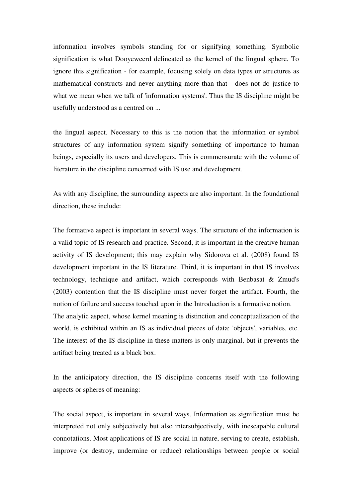information involves symbols standing for or signifying something. Symbolic signification is what Dooyeweerd delineated as the kernel of the lingual sphere. To ignore this signification - for example, focusing solely on data types or structures as mathematical constructs and never anything more than that - does not do justice to what we mean when we talk of 'information systems'. Thus the IS discipline might be usefully understood as a centred on ...

the lingual aspect. Necessary to this is the notion that the information or symbol structures of any information system signify something of importance to human beings, especially its users and developers. This is commensurate with the volume of literature in the discipline concerned with IS use and development.

As with any discipline, the surrounding aspects are also important. In the foundational direction, these include:

The formative aspect is important in several ways. The structure of the information is a valid topic of IS research and practice. Second, it is important in the creative human activity of IS development; this may explain why Sidorova et al. (2008) found IS development important in the IS literature. Third, it is important in that IS involves technology, technique and artifact, which corresponds with Benbasat & Zmud's (2003) contention that the IS discipline must never forget the artifact. Fourth, the notion of failure and success touched upon in the Introduction is a formative notion. The analytic aspect, whose kernel meaning is distinction and conceptualization of the world, is exhibited within an IS as individual pieces of data: 'objects', variables, etc. The interest of the IS discipline in these matters is only marginal, but it prevents the artifact being treated as a black box.

In the anticipatory direction, the IS discipline concerns itself with the following aspects or spheres of meaning:

The social aspect, is important in several ways. Information as signification must be interpreted not only subjectively but also intersubjectively, with inescapable cultural connotations. Most applications of IS are social in nature, serving to create, establish, improve (or destroy, undermine or reduce) relationships between people or social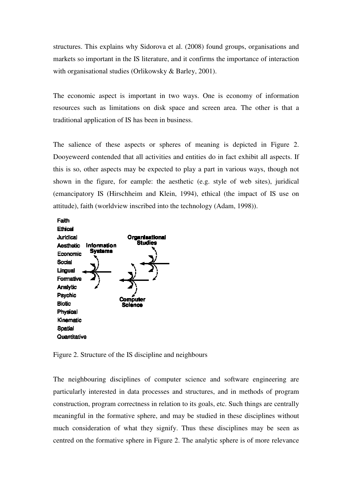structures. This explains why Sidorova et al. (2008) found groups, organisations and markets so important in the IS literature, and it confirms the importance of interaction with organisational studies (Orlikowsky & Barley, 2001).

The economic aspect is important in two ways. One is economy of information resources such as limitations on disk space and screen area. The other is that a traditional application of IS has been in business.

The salience of these aspects or spheres of meaning is depicted in Figure 2. Dooyeweerd contended that all activities and entities do in fact exhibit all aspects. If this is so, other aspects may be expected to play a part in various ways, though not shown in the figure, for eample: the aesthetic (e.g. style of web sites), juridical (emancipatory IS (Hirschheim and Klein, 1994), ethical (the impact of IS use on attitude), faith (worldview inscribed into the technology (Adam, 1998)).



Figure 2. Structure of the IS discipline and neighbours

The neighbouring disciplines of computer science and software engineering are particularly interested in data processes and structures, and in methods of program construction, program correctness in relation to its goals, etc. Such things are centrally meaningful in the formative sphere, and may be studied in these disciplines without much consideration of what they signify. Thus these disciplines may be seen as centred on the formative sphere in Figure 2. The analytic sphere is of more relevance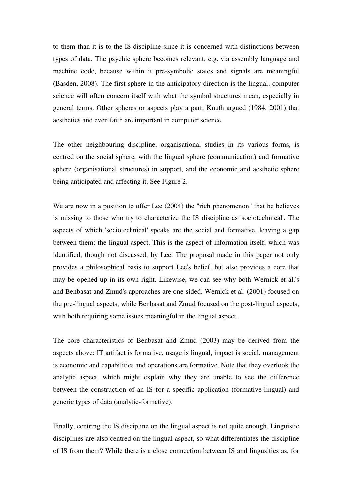to them than it is to the IS discipline since it is concerned with distinctions between types of data. The psychic sphere becomes relevant, e.g. via assembly language and machine code, because within it pre-symbolic states and signals are meaningful (Basden, 2008). The first sphere in the anticipatory direction is the lingual; computer science will often concern itself with what the symbol structures mean, especially in general terms. Other spheres or aspects play a part; Knuth argued (1984, 2001) that aesthetics and even faith are important in computer science.

The other neighbouring discipline, organisational studies in its various forms, is centred on the social sphere, with the lingual sphere (communication) and formative sphere (organisational structures) in support, and the economic and aesthetic sphere being anticipated and affecting it. See Figure 2.

We are now in a position to offer Lee  $(2004)$  the "rich phenomenon" that he believes is missing to those who try to characterize the IS discipline as 'sociotechnical'. The aspects of which 'sociotechnical' speaks are the social and formative, leaving a gap between them: the lingual aspect. This is the aspect of information itself, which was identified, though not discussed, by Lee. The proposal made in this paper not only provides a philosophical basis to support Lee's belief, but also provides a core that may be opened up in its own right. Likewise, we can see why both Wernick et al.'s and Benbasat and Zmud's approaches are one-sided. Wernick et al. (2001) focused on the pre-lingual aspects, while Benbasat and Zmud focused on the post-lingual aspects, with both requiring some issues meaningful in the lingual aspect.

The core characteristics of Benbasat and Zmud (2003) may be derived from the aspects above: IT artifact is formative, usage is lingual, impact is social, management is economic and capabilities and operations are formative. Note that they overlook the analytic aspect, which might explain why they are unable to see the difference between the construction of an IS for a specific application (formative-lingual) and generic types of data (analytic-formative).

Finally, centring the IS discipline on the lingual aspect is not quite enough. Linguistic disciplines are also centred on the lingual aspect, so what differentiates the discipline of IS from them? While there is a close connection between IS and lingusitics as, for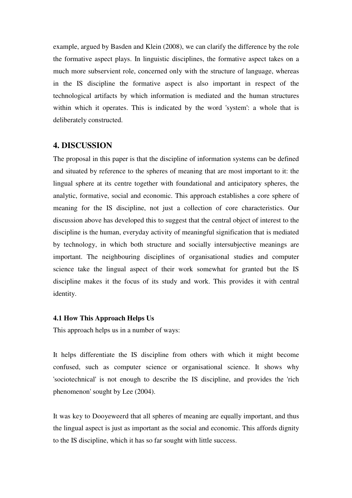example, argued by Basden and Klein (2008), we can clarify the difference by the role the formative aspect plays. In linguistic disciplines, the formative aspect takes on a much more subservient role, concerned only with the structure of language, whereas in the IS discipline the formative aspect is also important in respect of the technological artifacts by which information is mediated and the human structures within which it operates. This is indicated by the word 'system': a whole that is deliberately constructed.

## **4. DISCUSSION**

The proposal in this paper is that the discipline of information systems can be defined and situated by reference to the spheres of meaning that are most important to it: the lingual sphere at its centre together with foundational and anticipatory spheres, the analytic, formative, social and economic. This approach establishes a core sphere of meaning for the IS discipline, not just a collection of core characteristics. Our discussion above has developed this to suggest that the central object of interest to the discipline is the human, everyday activity of meaningful signification that is mediated by technology, in which both structure and socially intersubjective meanings are important. The neighbouring disciplines of organisational studies and computer science take the lingual aspect of their work somewhat for granted but the IS discipline makes it the focus of its study and work. This provides it with central identity.

#### **4.1 How This Approach Helps Us**

This approach helps us in a number of ways:

It helps differentiate the IS discipline from others with which it might become confused, such as computer science or organisational science. It shows why 'sociotechnical' is not enough to describe the IS discipline, and provides the 'rich phenomenon' sought by Lee (2004).

It was key to Dooyeweerd that all spheres of meaning are equally important, and thus the lingual aspect is just as important as the social and economic. This affords dignity to the IS discipline, which it has so far sought with little success.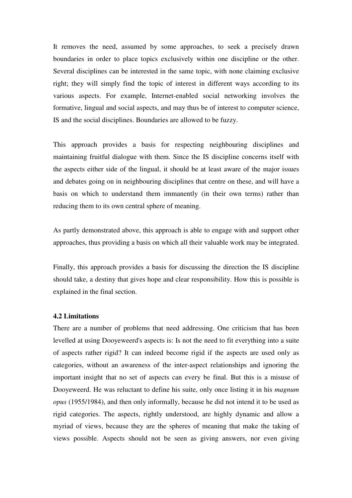It removes the need, assumed by some approaches, to seek a precisely drawn boundaries in order to place topics exclusively within one discipline or the other. Several disciplines can be interested in the same topic, with none claiming exclusive right; they will simply find the topic of interest in different ways according to its various aspects. For example, Internet-enabled social networking involves the formative, lingual and social aspects, and may thus be of interest to computer science, IS and the social disciplines. Boundaries are allowed to be fuzzy.

This approach provides a basis for respecting neighbouring disciplines and maintaining fruitful dialogue with them. Since the IS discipline concerns itself with the aspects either side of the lingual, it should be at least aware of the major issues and debates going on in neighbouring disciplines that centre on these, and will have a basis on which to understand them immanently (in their own terms) rather than reducing them to its own central sphere of meaning.

As partly demonstrated above, this approach is able to engage with and support other approaches, thus providing a basis on which all their valuable work may be integrated.

Finally, this approach provides a basis for discussing the direction the IS discipline should take, a destiny that gives hope and clear responsibility. How this is possible is explained in the final section.

## **4.2 Limitations**

There are a number of problems that need addressing. One criticism that has been levelled at using Dooyeweerd's aspects is: Is not the need to fit everything into a suite of aspects rather rigid? It can indeed become rigid if the aspects are used only as categories, without an awareness of the inter-aspect relationships and ignoring the important insight that no set of aspects can every be final. But this is a misuse of Dooyeweerd. He was reluctant to define his suite, only once listing it in his *magnum opus* (1955/1984), and then only informally, because he did not intend it to be used as rigid categories. The aspects, rightly understood, are highly dynamic and allow a myriad of views, because they are the spheres of meaning that make the taking of views possible. Aspects should not be seen as giving answers, nor even giving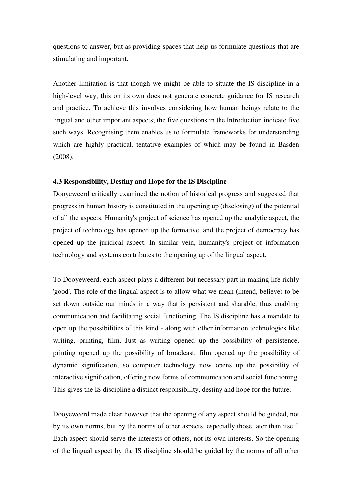questions to answer, but as providing spaces that help us formulate questions that are stimulating and important.

Another limitation is that though we might be able to situate the IS discipline in a high-level way, this on its own does not generate concrete guidance for IS research and practice. To achieve this involves considering how human beings relate to the lingual and other important aspects; the five questions in the Introduction indicate five such ways. Recognising them enables us to formulate frameworks for understanding which are highly practical, tentative examples of which may be found in Basden (2008).

#### **4.3 Responsibility, Destiny and Hope for the IS Discipline**

Dooyeweerd critically examined the notion of historical progress and suggested that progress in human history is constituted in the opening up (disclosing) of the potential of all the aspects. Humanity's project of science has opened up the analytic aspect, the project of technology has opened up the formative, and the project of democracy has opened up the juridical aspect. In similar vein, humanity's project of information technology and systems contributes to the opening up of the lingual aspect.

To Dooyeweerd, each aspect plays a different but necessary part in making life richly 'good'. The role of the lingual aspect is to allow what we mean (intend, believe) to be set down outside our minds in a way that is persistent and sharable, thus enabling communication and facilitating social functioning. The IS discipline has a mandate to open up the possibilities of this kind - along with other information technologies like writing, printing, film. Just as writing opened up the possibility of persistence, printing opened up the possibility of broadcast, film opened up the possibility of dynamic signification, so computer technology now opens up the possibility of interactive signification, offering new forms of communication and social functioning. This gives the IS discipline a distinct responsibility, destiny and hope for the future.

Dooyeweerd made clear however that the opening of any aspect should be guided, not by its own norms, but by the norms of other aspects, especially those later than itself. Each aspect should serve the interests of others, not its own interests. So the opening of the lingual aspect by the IS discipline should be guided by the norms of all other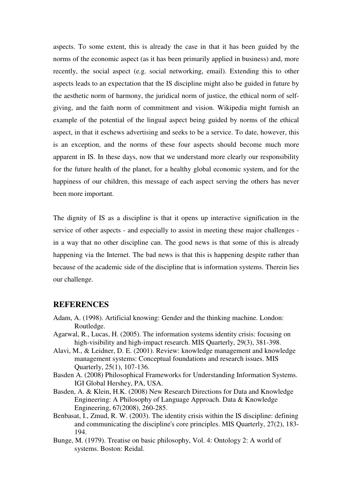aspects. To some extent, this is already the case in that it has been guided by the norms of the economic aspect (as it has been primarily applied in business) and, more recently, the social aspect (e.g. social networking, email). Extending this to other aspects leads to an expectation that the IS discipline might also be guided in future by the aesthetic norm of harmony, the juridical norm of justice, the ethical norm of selfgiving, and the faith norm of commitment and vision. Wikipedia might furnish an example of the potential of the lingual aspect being guided by norms of the ethical aspect, in that it eschews advertising and seeks to be a service. To date, however, this is an exception, and the norms of these four aspects should become much more apparent in IS. In these days, now that we understand more clearly our responsibility for the future health of the planet, for a healthy global economic system, and for the happiness of our children, this message of each aspect serving the others has never been more important.

The dignity of IS as a discipline is that it opens up interactive signification in the service of other aspects - and especially to assist in meeting these major challenges in a way that no other discipline can. The good news is that some of this is already happening via the Internet. The bad news is that this is happening despite rather than because of the academic side of the discipline that is information systems. Therein lies our challenge.

## **REFERENCES**

- Adam, A. (1998). Artificial knowing: Gender and the thinking machine. London: Routledge.
- Agarwal, R., Lucas, H. (2005). The information systems identity crisis: focusing on high-visibility and high-impact research. MIS Quarterly, 29(3), 381-398.
- Alavi, M., & Leidner, D. E. (2001). Review: knowledge management and knowledge management systems: Conceptual foundations and research issues. MIS Quarterly, 25(1), 107-136.
- Basden A. (2008) Philosophical Frameworks for Understanding Information Systems. IGI Global Hershey, PA, USA.
- Basden, A. & Klein, H.K. (2008) New Research Directions for Data and Knowledge Engineering: A Philosophy of Language Approach. Data & Knowledge Engineering, 67(2008), 260-285.
- Benbasat, I., Zmud, R. W. (2003). The identity crisis within the IS discipline: defining and communicating the discipline's core principles. MIS Quarterly, 27(2), 183- 194.
- Bunge, M. (1979). Treatise on basic philosophy, Vol. 4: Ontology 2: A world of systems. Boston: Reidal.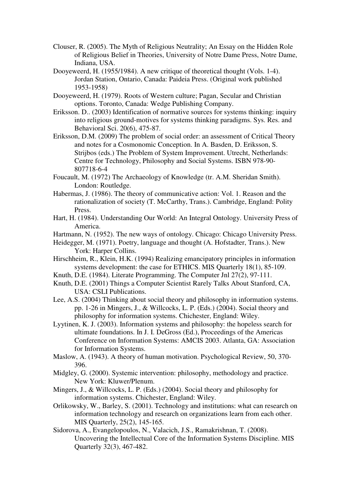- Clouser, R. (2005). The Myth of Religious Neutrality; An Essay on the Hidden Role of Religious Belief in Theories, University of Notre Dame Press, Notre Dame, Indiana, USA.
- Dooyeweerd, H. (1955/1984). A new critique of theoretical thought (Vols. 1-4). Jordan Station, Ontario, Canada: Paideia Press. (Original work published 1953-1958)
- Dooyeweerd, H. (1979). Roots of Western culture; Pagan, Secular and Christian options. Toronto, Canada: Wedge Publishing Company.
- Eriksson. D.. (2003) Identification of normative sources for systems thinking: inquiry into religious ground-motives for systems thinking paradigms. Sys. Res. and Behavioral Sci. 20(6), 475-87.
- Eriksson, D.M. (2009) The problem of social order: an assessment of Critical Theory and notes for a Cosmonomic Conception. In A. Basden, D. Eriksson, S. Strijbos (eds.) The Problem of System Improvement. Utrecht, Netherlands: Centre for Technology, Philosophy and Social Systems. ISBN 978-90- 807718-6-4
- Foucault, M. (1972) The Archaeology of Knowledge (tr. A.M. Sheridan Smith). London: Routledge.
- Habermas, J. (1986). The theory of communicative action: Vol. 1. Reason and the rationalization of society (T. McCarthy, Trans.). Cambridge, England: Polity Press.
- Hart, H. (1984). Understanding Our World: An Integral Ontology. University Press of America.
- Hartmann, N. (1952). The new ways of ontology. Chicago: Chicago University Press.
- Heidegger, M. (1971). Poetry, language and thought (A. Hofstadter, Trans.). New York: Harper Collins.
- Hirschheim, R., Klein, H.K. (1994) Realizing emancipatory principles in information systems development: the case for ETHICS. MIS Quarterly 18(1), 85-109.
- Knuth, D.E. (1984). Literate Programming. The Computer Jnl 27(2), 97-111.
- Knuth, D.E. (2001) Things a Computer Scientist Rarely Talks About Stanford, CA, USA: CSLI Publications.
- Lee, A.S. (2004) Thinking about social theory and philosophy in information systems. pp. 1-26 in Mingers, J., & Willcocks, L. P. (Eds.) (2004). Social theory and philosophy for information systems. Chichester, England: Wiley.
- Lyytinen, K. J. (2003). Information systems and philosophy: the hopeless search for ultimate foundations. In J. I. DeGross (Ed.), Proceedings of the Americas Conference on Information Systems: AMCIS 2003. Atlanta, GA: Association for Information Systems.
- Maslow, A. (1943). A theory of human motivation. Psychological Review, 50, 370- 396.
- Midgley, G. (2000). Systemic intervention: philosophy, methodology and practice. New York: Kluwer/Plenum.
- Mingers, J., & Willcocks, L. P. (Eds.) (2004). Social theory and philosophy for information systems. Chichester, England: Wiley.
- Orlikowsky, W., Barley, S. (2001). Technology and institutions: what can research on information technology and research on organizations learn from each other. MIS Quarterly, 25(2), 145-165.
- Sidorova, A., Evangelopoulos, N., Valacich, J.S., Ramakrishnan, T. (2008). Uncovering the Intellectual Core of the Information Systems Discipline. MIS Quarterly 32(3), 467-482.